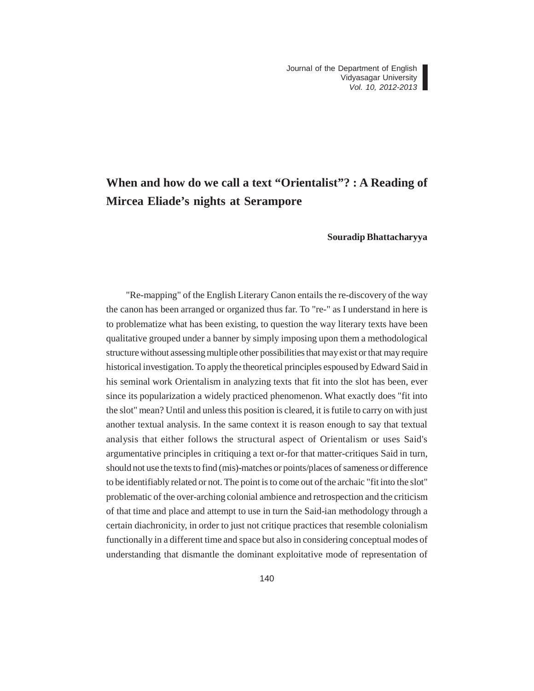## **When and how do we call a text "Orientalist"? : A Reading of Mircea Eliade's nights at Serampore**

## **Souradip Bhattacharyya**

"Re-mapping" of the English Literary Canon entails the re-discovery of the way the canon has been arranged or organized thus far. To "re-" as I understand in here is to problematize what has been existing, to question the way literary texts have been qualitative grouped under a banner by simply imposing upon them a methodological structure without assessing multiple other possibilities that may exist or that may require historical investigation. To apply the theoretical principles espoused by Edward Said in his seminal work Orientalism in analyzing texts that fit into the slot has been, ever since its popularization a widely practiced phenomenon. What exactly does "fit into the slot" mean? Until and unless this position is cleared, it is futile to carry on with just another textual analysis. In the same context it is reason enough to say that textual analysis that either follows the structural aspect of Orientalism or uses Said's argumentative principles in critiquing a text or-for that matter-critiques Said in turn, should not use the texts to find (mis)-matches or points/places of sameness or difference to be identifiably related or not. The point is to come out of the archaic "fit into the slot" problematic of the over-arching colonial ambience and retrospection and the criticism of that time and place and attempt to use in turn the Said-ian methodology through a certain diachronicity, in order to just not critique practices that resemble colonialism functionally in a different time and space but also in considering conceptual modes of understanding that dismantle the dominant exploitative mode of representation of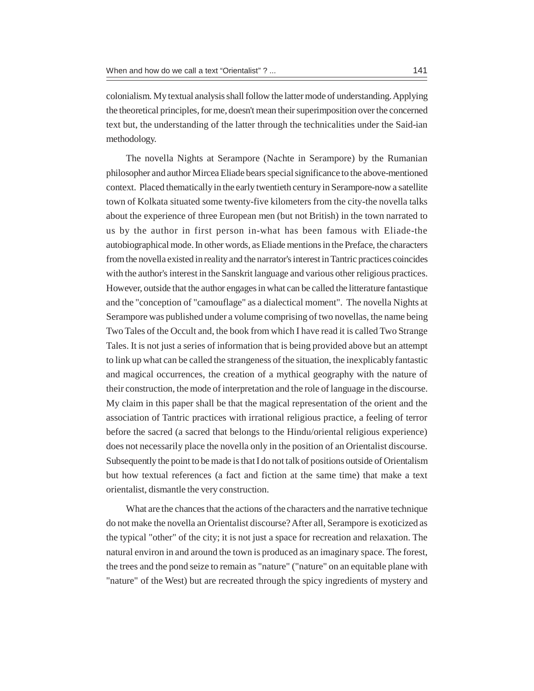colonialism. My textual analysis shall follow the latter mode of understanding. Applying the theoretical principles, for me, doesn't mean their superimposition over the concerned text but, the understanding of the latter through the technicalities under the Said-ian methodology.

The novella Nights at Serampore (Nachte in Serampore) by the Rumanian philosopher and author Mircea Eliade bears special significance to the above-mentioned context. Placed thematically in the early twentieth century in Serampore-now a satellite town of Kolkata situated some twenty-five kilometers from the city-the novella talks about the experience of three European men (but not British) in the town narrated to us by the author in first person in-what has been famous with Eliade-the autobiographical mode. In other words, as Eliade mentions in the Preface, the characters from the novella existed in reality and the narrator's interest in Tantric practices coincides with the author's interest in the Sanskrit language and various other religious practices. However, outside that the author engages in what can be called the litterature fantastique and the "conception of "camouflage" as a dialectical moment". The novella Nights at Serampore was published under a volume comprising of two novellas, the name being Two Tales of the Occult and, the book from which I have read it is called Two Strange Tales. It is not just a series of information that is being provided above but an attempt to link up what can be called the strangeness of the situation, the inexplicably fantastic and magical occurrences, the creation of a mythical geography with the nature of their construction, the mode of interpretation and the role of language in the discourse. My claim in this paper shall be that the magical representation of the orient and the association of Tantric practices with irrational religious practice, a feeling of terror before the sacred (a sacred that belongs to the Hindu/oriental religious experience) does not necessarily place the novella only in the position of an Orientalist discourse. Subsequently the point to be made is that I do not talk of positions outside of Orientalism but how textual references (a fact and fiction at the same time) that make a text orientalist, dismantle the very construction.

What are the chances that the actions of the characters and the narrative technique do not make the novella an Orientalist discourse? After all, Serampore is exoticized as the typical "other" of the city; it is not just a space for recreation and relaxation. The natural environ in and around the town is produced as an imaginary space. The forest, the trees and the pond seize to remain as "nature" ("nature" on an equitable plane with "nature" of the West) but are recreated through the spicy ingredients of mystery and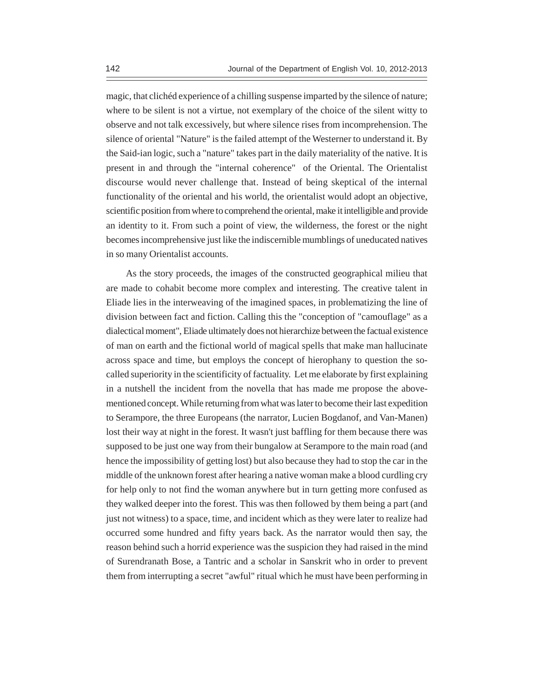magic, that clichéd experience of a chilling suspense imparted by the silence of nature; where to be silent is not a virtue, not exemplary of the choice of the silent witty to observe and not talk excessively, but where silence rises from incomprehension. The silence of oriental "Nature" is the failed attempt of the Westerner to understand it. By the Said-ian logic, such a "nature" takes part in the daily materiality of the native. It is present in and through the "internal coherence" of the Oriental. The Orientalist discourse would never challenge that. Instead of being skeptical of the internal functionality of the oriental and his world, the orientalist would adopt an objective, scientific position from where to comprehend the oriental, make it intelligible and provide an identity to it. From such a point of view, the wilderness, the forest or the night becomes incomprehensive just like the indiscernible mumblings of uneducated natives in so many Orientalist accounts.

As the story proceeds, the images of the constructed geographical milieu that are made to cohabit become more complex and interesting. The creative talent in Eliade lies in the interweaving of the imagined spaces, in problematizing the line of division between fact and fiction. Calling this the "conception of "camouflage" as a dialectical moment", Eliade ultimately does not hierarchize between the factual existence of man on earth and the fictional world of magical spells that make man hallucinate across space and time, but employs the concept of hierophany to question the socalled superiority in the scientificity of factuality. Let me elaborate by first explaining in a nutshell the incident from the novella that has made me propose the abovementioned concept. While returning from what was later to become their last expedition to Serampore, the three Europeans (the narrator, Lucien Bogdanof, and Van-Manen) lost their way at night in the forest. It wasn't just baffling for them because there was supposed to be just one way from their bungalow at Serampore to the main road (and hence the impossibility of getting lost) but also because they had to stop the car in the middle of the unknown forest after hearing a native woman make a blood curdling cry for help only to not find the woman anywhere but in turn getting more confused as they walked deeper into the forest. This was then followed by them being a part (and just not witness) to a space, time, and incident which as they were later to realize had occurred some hundred and fifty years back. As the narrator would then say, the reason behind such a horrid experience was the suspicion they had raised in the mind of Surendranath Bose, a Tantric and a scholar in Sanskrit who in order to prevent them from interrupting a secret "awful" ritual which he must have been performing in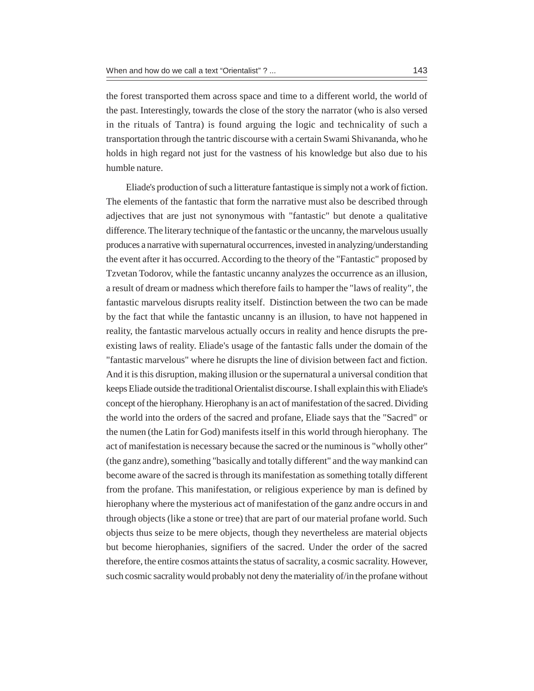the forest transported them across space and time to a different world, the world of the past. Interestingly, towards the close of the story the narrator (who is also versed in the rituals of Tantra) is found arguing the logic and technicality of such a transportation through the tantric discourse with a certain Swami Shivananda, who he holds in high regard not just for the vastness of his knowledge but also due to his humble nature.

Eliade's production of such a litterature fantastique is simply not a work of fiction. The elements of the fantastic that form the narrative must also be described through adjectives that are just not synonymous with "fantastic" but denote a qualitative difference. The literary technique of the fantastic or the uncanny, the marvelous usually produces a narrative with supernatural occurrences, invested in analyzing/understanding the event after it has occurred. According to the theory of the "Fantastic" proposed by Tzvetan Todorov, while the fantastic uncanny analyzes the occurrence as an illusion, a result of dream or madness which therefore fails to hamper the "laws of reality", the fantastic marvelous disrupts reality itself. Distinction between the two can be made by the fact that while the fantastic uncanny is an illusion, to have not happened in reality, the fantastic marvelous actually occurs in reality and hence disrupts the preexisting laws of reality. Eliade's usage of the fantastic falls under the domain of the "fantastic marvelous" where he disrupts the line of division between fact and fiction. And it is this disruption, making illusion or the supernatural a universal condition that keeps Eliade outside the traditional Orientalist discourse. I shall explain this with Eliade's concept of the hierophany. Hierophany is an act of manifestation of the sacred. Dividing the world into the orders of the sacred and profane, Eliade says that the "Sacred" or the numen (the Latin for God) manifests itself in this world through hierophany. The act of manifestation is necessary because the sacred or the numinous is "wholly other" (the ganz andre), something "basically and totally different" and the way mankind can become aware of the sacred is through its manifestation as something totally different from the profane. This manifestation, or religious experience by man is defined by hierophany where the mysterious act of manifestation of the ganz andre occurs in and through objects (like a stone or tree) that are part of our material profane world. Such objects thus seize to be mere objects, though they nevertheless are material objects but become hierophanies, signifiers of the sacred. Under the order of the sacred therefore, the entire cosmos attaints the status of sacrality, a cosmic sacrality. However, such cosmic sacrality would probably not deny the materiality of/in the profane without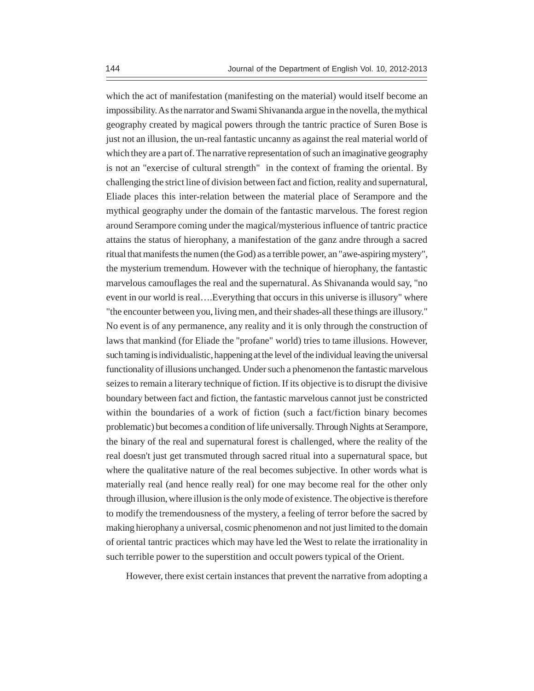which the act of manifestation (manifesting on the material) would itself become an impossibility. As the narrator and Swami Shivananda argue in the novella, the mythical geography created by magical powers through the tantric practice of Suren Bose is just not an illusion, the un-real fantastic uncanny as against the real material world of which they are a part of. The narrative representation of such an imaginative geography is not an "exercise of cultural strength" in the context of framing the oriental. By challenging the strict line of division between fact and fiction, reality and supernatural, Eliade places this inter-relation between the material place of Serampore and the mythical geography under the domain of the fantastic marvelous. The forest region around Serampore coming under the magical/mysterious influence of tantric practice attains the status of hierophany, a manifestation of the ganz andre through a sacred ritual that manifests the numen (the God) as a terrible power, an "awe-aspiring mystery", the mysterium tremendum. However with the technique of hierophany, the fantastic marvelous camouflages the real and the supernatural. As Shivananda would say, "no event in our world is real….Everything that occurs in this universe is illusory" where "the encounter between you, living men, and their shades-all these things are illusory." No event is of any permanence, any reality and it is only through the construction of laws that mankind (for Eliade the "profane" world) tries to tame illusions. However, such taming is individualistic, happening at the level of the individual leaving the universal functionality of illusions unchanged. Under such a phenomenon the fantastic marvelous seizes to remain a literary technique of fiction. If its objective is to disrupt the divisive boundary between fact and fiction, the fantastic marvelous cannot just be constricted within the boundaries of a work of fiction (such a fact/fiction binary becomes problematic) but becomes a condition of life universally. Through Nights at Serampore, the binary of the real and supernatural forest is challenged, where the reality of the real doesn't just get transmuted through sacred ritual into a supernatural space, but where the qualitative nature of the real becomes subjective. In other words what is materially real (and hence really real) for one may become real for the other only through illusion, where illusion is the only mode of existence. The objective is therefore to modify the tremendousness of the mystery, a feeling of terror before the sacred by making hierophany a universal, cosmic phenomenon and not just limited to the domain of oriental tantric practices which may have led the West to relate the irrationality in such terrible power to the superstition and occult powers typical of the Orient.

However, there exist certain instances that prevent the narrative from adopting a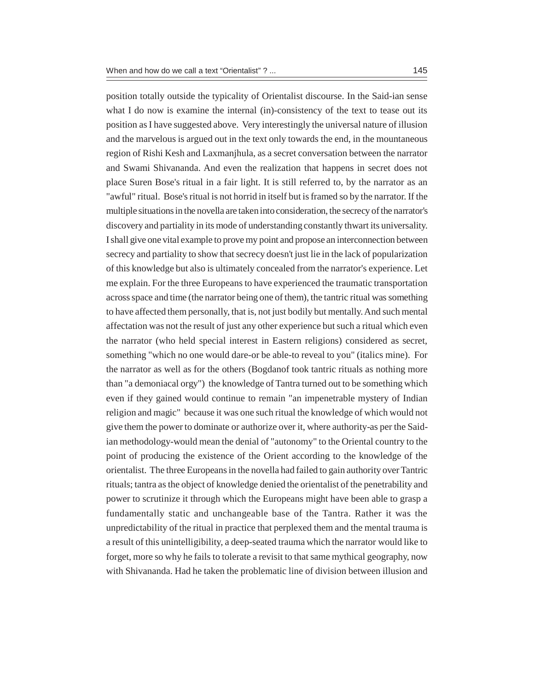position totally outside the typicality of Orientalist discourse. In the Said-ian sense what I do now is examine the internal (in)-consistency of the text to tease out its position as I have suggested above. Very interestingly the universal nature of illusion and the marvelous is argued out in the text only towards the end, in the mountaneous region of Rishi Kesh and Laxmanjhula, as a secret conversation between the narrator and Swami Shivananda. And even the realization that happens in secret does not place Suren Bose's ritual in a fair light. It is still referred to, by the narrator as an "awful" ritual. Bose's ritual is not horrid in itself but is framed so by the narrator. If the multiple situations in the novella are taken into consideration, the secrecy of the narrator's discovery and partiality in its mode of understanding constantly thwart its universality. I shall give one vital example to prove my point and propose an interconnection between secrecy and partiality to show that secrecy doesn't just lie in the lack of popularization of this knowledge but also is ultimately concealed from the narrator's experience. Let me explain. For the three Europeans to have experienced the traumatic transportation across space and time (the narrator being one of them), the tantric ritual was something to have affected them personally, that is, not just bodily but mentally. And such mental affectation was not the result of just any other experience but such a ritual which even the narrator (who held special interest in Eastern religions) considered as secret, something "which no one would dare-or be able-to reveal to you" (italics mine). For the narrator as well as for the others (Bogdanof took tantric rituals as nothing more than "a demoniacal orgy") the knowledge of Tantra turned out to be something which even if they gained would continue to remain "an impenetrable mystery of Indian religion and magic" because it was one such ritual the knowledge of which would not give them the power to dominate or authorize over it, where authority-as per the Saidian methodology-would mean the denial of "autonomy" to the Oriental country to the point of producing the existence of the Orient according to the knowledge of the orientalist. The three Europeans in the novella had failed to gain authority over Tantric rituals; tantra as the object of knowledge denied the orientalist of the penetrability and power to scrutinize it through which the Europeans might have been able to grasp a fundamentally static and unchangeable base of the Tantra. Rather it was the unpredictability of the ritual in practice that perplexed them and the mental trauma is a result of this unintelligibility, a deep-seated trauma which the narrator would like to forget, more so why he fails to tolerate a revisit to that same mythical geography, now with Shivananda. Had he taken the problematic line of division between illusion and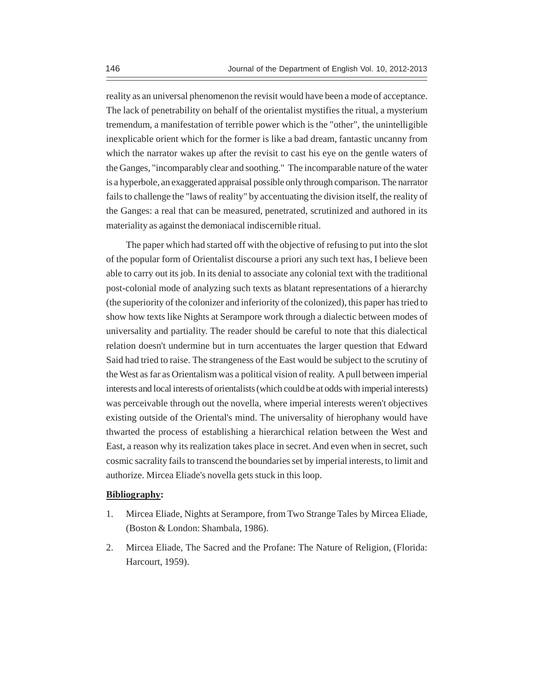reality as an universal phenomenon the revisit would have been a mode of acceptance. The lack of penetrability on behalf of the orientalist mystifies the ritual, a mysterium tremendum, a manifestation of terrible power which is the "other", the unintelligible inexplicable orient which for the former is like a bad dream, fantastic uncanny from which the narrator wakes up after the revisit to cast his eye on the gentle waters of the Ganges, "incomparably clear and soothing." The incomparable nature of the water is a hyperbole, an exaggerated appraisal possible only through comparison. The narrator fails to challenge the "laws of reality" by accentuating the division itself, the reality of the Ganges: a real that can be measured, penetrated, scrutinized and authored in its materiality as against the demoniacal indiscernible ritual.

The paper which had started off with the objective of refusing to put into the slot of the popular form of Orientalist discourse a priori any such text has, I believe been able to carry out its job. In its denial to associate any colonial text with the traditional post-colonial mode of analyzing such texts as blatant representations of a hierarchy (the superiority of the colonizer and inferiority of the colonized), this paper has tried to show how texts like Nights at Serampore work through a dialectic between modes of universality and partiality. The reader should be careful to note that this dialectical relation doesn't undermine but in turn accentuates the larger question that Edward Said had tried to raise. The strangeness of the East would be subject to the scrutiny of the West as far as Orientalism was a political vision of reality. A pull between imperial interests and local interests of orientalists (which could be at odds with imperial interests) was perceivable through out the novella, where imperial interests weren't objectives existing outside of the Oriental's mind. The universality of hierophany would have thwarted the process of establishing a hierarchical relation between the West and East, a reason why its realization takes place in secret. And even when in secret, such cosmic sacrality fails to transcend the boundaries set by imperial interests, to limit and authorize. Mircea Eliade's novella gets stuck in this loop.

## **Bibliography:**

- 1. Mircea Eliade, Nights at Serampore, from Two Strange Tales by Mircea Eliade, (Boston & London: Shambala, 1986).
- 2. Mircea Eliade, The Sacred and the Profane: The Nature of Religion, (Florida: Harcourt, 1959).